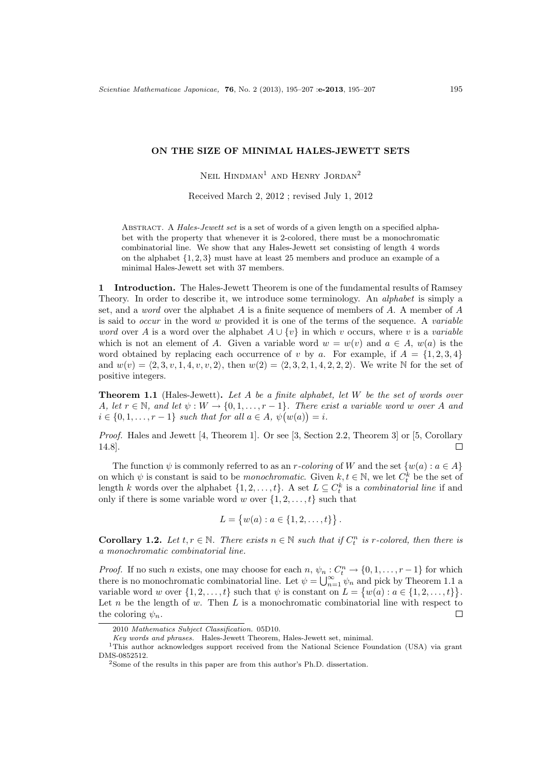## **ON THE SIZE OF MINIMAL HALES-JEWETT SETS**

NEIL  $HINDMAN<sup>1</sup>$  AND HENRY JORDAN<sup>2</sup>

Received March 2, 2012 ; revised July 1, 2012

Abstract. A *Hales-Jewett set* is a set of words of a given length on a specified alphabet with the property that whenever it is 2-colored, there must be a monochromatic combinatorial line. We show that any Hales-Jewett set consisting of length 4 words on the alphabet *{*1*,* 2*,* 3*}* must have at least 25 members and produce an example of a minimal Hales-Jewett set with 37 members.

**1 Introduction.** The Hales-Jewett Theorem is one of the fundamental results of Ramsey Theory. In order to describe it, we introduce some terminology. An *alphabet* is simply a set, and a *word* over the alphabet *A* is a finite sequence of members of *A*. A member of *A* is said to *occur* in the word *w* provided it is one of the terms of the sequence. A *variable word* over *A* is a word over the alphabet  $A \cup \{v\}$  in which *v* occurs, where *v* is a *variable* which is not an element of *A*. Given a variable word  $w = w(v)$  and  $a \in A$ ,  $w(a)$  is the word obtained by replacing each occurrence of *v* by *a*. For example, if  $A = \{1, 2, 3, 4\}$ and  $w(v) = \langle 2, 3, v, 1, 4, v, v, 2 \rangle$ , then  $w(2) = \langle 2, 3, 2, 1, 4, 2, 2, 2 \rangle$ . We write N for the set of positive integers.

**Theorem 1.1** (Hales-Jewett)**.** *Let A be a finite alphabet, let W be the set of words over A*, let  $r \in \mathbb{N}$ , and let  $\psi : W \to \{0, 1, \ldots, r-1\}$ . There exist a variable word w over *A* and  $i \in \{0, 1, \ldots, r - 1\}$  *such that for all*  $a \in A$ *,*  $\psi(w(a)) = i$ *.* 

*Proof.* Hales and Jewett [4, Theorem 1]. Or see [3, Section 2.2, Theorem 3] or [5, Corollary 14.8].  $\Box$ 

The function  $\psi$  is commonly referred to as an *r-coloring* of *W* and the set  $\{w(a): a \in A\}$ on which  $\psi$  is constant is said to be *monochromatic*. Given  $k, t \in \mathbb{N}$ , we let  $C_t^k$  be the set of length *k* words over the alphabet  $\{1, 2, \ldots, t\}$ . A set  $L \subseteq C_t^k$  is a *combinatorial line* if and only if there is some variable word *w* over  $\{1, 2, \ldots, t\}$  such that

$$
L = \{w(a) : a \in \{1, 2, \dots, t\}\}.
$$

**Corollary 1.2.** Let  $t, r \in \mathbb{N}$ . There exists  $n \in \mathbb{N}$  such that if  $C_t^n$  is r-colored, then there is *a monochromatic combinatorial line.*

*Proof.* If no such *n* exists, one may choose for each  $n, \psi_n : C_t^n \to \{0, 1, \ldots, r-1\}$  for which there is no monochromatic combinatorial line. Let  $\psi = \bigcup_{n=1}^{\infty} \psi_n$  and pick by Theorem 1.1 a variable word *w* over  $\{1, 2, \ldots, t\}$  such that  $\psi$  is constant on  $L = \{w(a) : a \in \{1, 2, \ldots, t\}\}.$ Let *n* be the length of *w*. Then *L* is a monochromatic combinatorial line with respect to  $\Box$ the coloring  $\psi_n$ .

<sup>2010</sup> *Mathematics Subject Classification.* 05D10.

*Key words and phrases.* Hales-Jewett Theorem, Hales-Jewett set, minimal.

<sup>1</sup>This author acknowledges support received from the National Science Foundation (USA) via grant DMS-0852512.

<sup>2</sup>Some of the results in this paper are from this author's Ph.D. dissertation.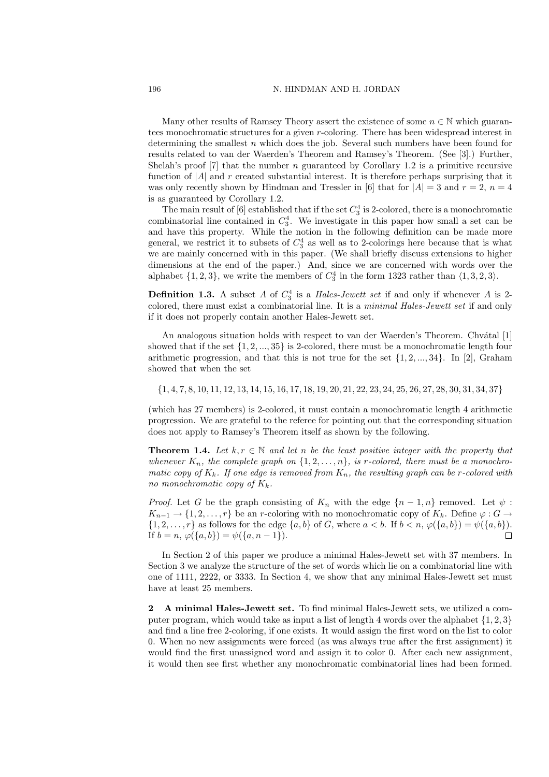## 196 N. HINDMAN AND H. JORDAN

Many other results of Ramsey Theory assert the existence of some  $n \in \mathbb{N}$  which guarantees monochromatic structures for a given *r*-coloring. There has been widespread interest in determining the smallest *n* which does the job. Several such numbers have been found for results related to van der Waerden's Theorem and Ramsey's Theorem. (See [3].) Further, Shelah's proof [7] that the number *n* guaranteed by Corollary 1.2 is a primitive recursive function of *|A|* and *r* created substantial interest. It is therefore perhaps surprising that it was only recently shown by Hindman and Tressler in [6] that for  $|A| = 3$  and  $r = 2$ ,  $n = 4$ is as guaranteed by Corollary 1.2.

The main result of  $[6]$  established that if the set  $C_3^4$  is 2-colored, there is a monochromatic combinatorial line contained in  $C_3^4$ . We investigate in this paper how small a set can be and have this property. While the notion in the following definition can be made more general, we restrict it to subsets of *C* 4 <sup>3</sup> as well as to 2-colorings here because that is what we are mainly concerned with in this paper. (We shall briefly discuss extensions to higher dimensions at the end of the paper.) And, since we are concerned with words over the alphabet  $\{1, 2, 3\}$ , we write the members of  $C_3^4$  in the form 1323 rather than  $\langle 1, 3, 2, 3 \rangle$ .

**Definition 1.3.** A subset *A* of  $C_3^4$  is a *Hales-Jewett set* if and only if whenever *A* is 2colored, there must exist a combinatorial line. It is a *minimal Hales-Jewett set* if and only if it does not properly contain another Hales-Jewett set.

An analogous situation holds with respect to van der Waerden's Theorem. Chvátal [1] showed that if the set *{*1*,* 2*, ...,* 35*}* is 2-colored, there must be a monochromatic length four arithmetic progression, and that this is not true for the set *{*1*,* 2*, ...,* 34*}*. In [2], Graham showed that when the set

 $\{1, 4, 7, 8, 10, 11, 12, 13, 14, 15, 16, 17, 18, 19, 20, 21, 22, 23, 24, 25, 26, 27, 28, 30, 31, 34, 37\}$ 

(which has 27 members) is 2-colored, it must contain a monochromatic length 4 arithmetic progression. We are grateful to the referee for pointing out that the corresponding situation does not apply to Ramsey's Theorem itself as shown by the following.

**Theorem 1.4.** Let  $k, r \in \mathbb{N}$  and let *n* be the least positive integer with the property that whenever  $K_n$ , the complete graph on  $\{1, 2, \ldots, n\}$ , is r-colored, there must be a monochro*matic copy of*  $K_k$ *. If one edge is removed from*  $K_n$ *, the resulting graph can be r-colored with no monochromatic copy of Kk.*

*Proof.* Let *G* be the graph consisting of  $K_n$  with the edge  $\{n-1,n\}$  removed. Let  $\psi$ :  $K_{n-1} \rightarrow \{1, 2, \ldots, r\}$  be an *r*-coloring with no monochromatic copy of  $K_k$ . Define  $\varphi : G \rightarrow$  $\{1,2,\ldots,r\}$  as follows for the edge  $\{a,b\}$  of G, where  $a < b$ . If  $b < n$ ,  $\varphi(\{a,b\}) = \psi(\{a,b\})$ . If  $b = n, \varphi(\{a, b\}) = \psi(\{a, n - 1\}).$ П

In Section 2 of this paper we produce a minimal Hales-Jewett set with 37 members. In Section 3 we analyze the structure of the set of words which lie on a combinatorial line with one of 1111, 2222, or 3333. In Section 4, we show that any minimal Hales-Jewett set must have at least 25 members.

**2 A minimal Hales-Jewett set.** To find minimal Hales-Jewett sets, we utilized a computer program, which would take as input a list of length 4 words over the alphabet *{*1*,* 2*,* 3*}* and find a line free 2-coloring, if one exists. It would assign the first word on the list to color 0. When no new assignments were forced (as was always true after the first assignment) it would find the first unassigned word and assign it to color 0. After each new assignment, it would then see first whether any monochromatic combinatorial lines had been formed.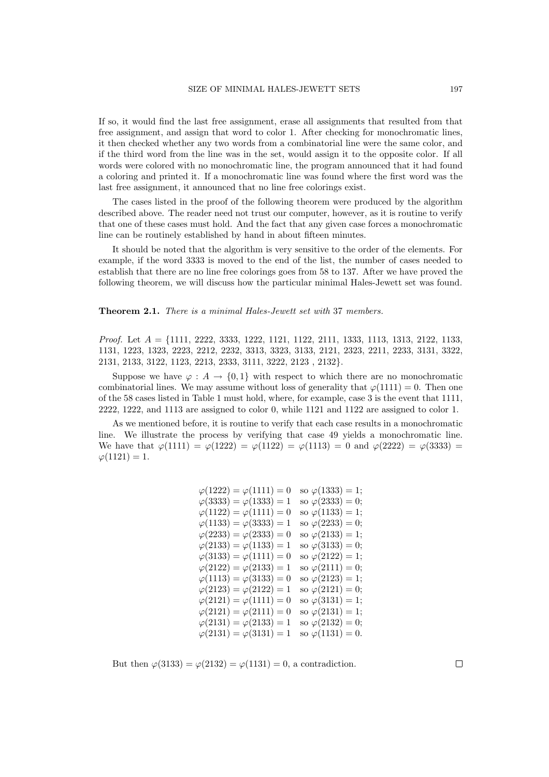If so, it would find the last free assignment, erase all assignments that resulted from that free assignment, and assign that word to color 1. After checking for monochromatic lines, it then checked whether any two words from a combinatorial line were the same color, and if the third word from the line was in the set, would assign it to the opposite color. If all words were colored with no monochromatic line, the program announced that it had found a coloring and printed it. If a monochromatic line was found where the first word was the last free assignment, it announced that no line free colorings exist.

The cases listed in the proof of the following theorem were produced by the algorithm described above. The reader need not trust our computer, however, as it is routine to verify that one of these cases must hold. And the fact that any given case forces a monochromatic line can be routinely established by hand in about fifteen minutes.

It should be noted that the algorithm is very sensitive to the order of the elements. For example, if the word 3333 is moved to the end of the list, the number of cases needed to establish that there are no line free colorings goes from 58 to 137. After we have proved the following theorem, we will discuss how the particular minimal Hales-Jewett set was found.

**Theorem 2.1.** *There is a minimal Hales-Jewett set with* 37 *members.*

*Proof.* Let *A* = *{*1111, 2222, 3333, 1222, 1121, 1122, 2111, 1333, 1113, 1313, 2122, 1133, 1131, 1223, 1323, 2223, 2212, 2232, 3313, 3323, 3133, 2121, 2323, 2211, 2233, 3131, 3322, 2131, 2133, 3122, 1123, 2213, 2333, 3111, 3222, 2123 , 2132*}*.

Suppose we have  $\varphi : A \to \{0,1\}$  with respect to which there are no monochromatic combinatorial lines. We may assume without loss of generality that  $\varphi(1111) = 0$ . Then one of the 58 cases listed in Table 1 must hold, where, for example, case 3 is the event that 1111, 2222, 1222, and 1113 are assigned to color 0, while 1121 and 1122 are assigned to color 1.

As we mentioned before, it is routine to verify that each case results in a monochromatic line. We illustrate the process by verifying that case 49 yields a monochromatic line. We have that  $\varphi(1111) = \varphi(1222) = \varphi(1122) = \varphi(1113) = 0$  and  $\varphi(2222) = \varphi(3333) =$  $\varphi(1121) = 1.$ 

| so $\varphi(1333) = 1;$  |
|--------------------------|
| so $\varphi(2333) = 0;$  |
| so $\varphi(1133) = 1;$  |
| so $\varphi(2233) = 0;$  |
| so $\varphi(2133) = 1;$  |
| so $\varphi(3133) = 0;$  |
| so $\varphi(2122) = 1;$  |
| so $\varphi(2111) = 0;$  |
| so $\varphi(2123) = 1;$  |
| so $\varphi(2121) = 0;$  |
| so $\varphi(3131) = 1;$  |
| so $\varphi(2131) = 1;$  |
| so $\varphi(2132) = 0;$  |
| so $\varphi(1131) = 0$ . |
|                          |

But then  $\varphi(3133) = \varphi(2132) = \varphi(1131) = 0$ , a contradiction.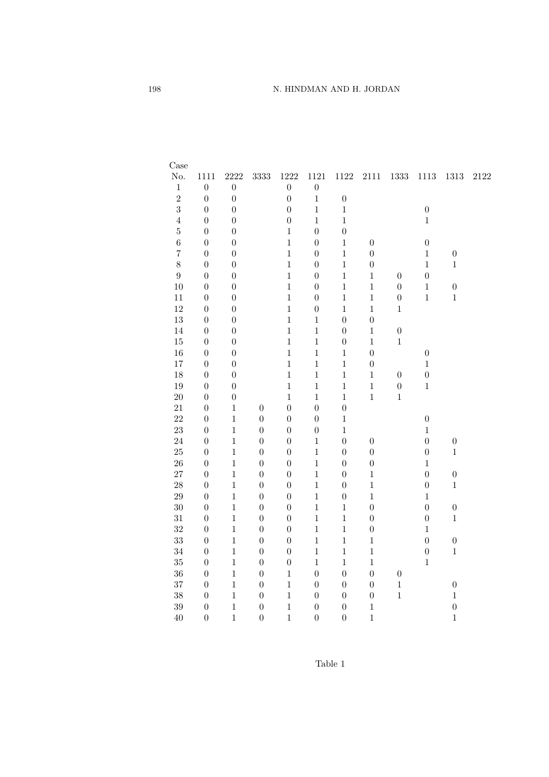| Case             |                  |                  |                  |                  |                  |                  |                  |                  |                  |                  |      |
|------------------|------------------|------------------|------------------|------------------|------------------|------------------|------------------|------------------|------------------|------------------|------|
| $\rm No.$        | 1111             | 2222             | 3333             | 1222             | $1121\,$         | 1122             | $2111\,$         | $1333\,$         | $1113\,$         | $1313\,$         | 2122 |
| $\,1$            | $\boldsymbol{0}$ | $\boldsymbol{0}$ |                  | $\boldsymbol{0}$ | $\boldsymbol{0}$ |                  |                  |                  |                  |                  |      |
| $\overline{2}$   | $\boldsymbol{0}$ | $\boldsymbol{0}$ |                  | $\overline{0}$   | $\mathbf{1}$     | $\boldsymbol{0}$ |                  |                  |                  |                  |      |
| 3                | $\boldsymbol{0}$ | $\boldsymbol{0}$ |                  | $\overline{0}$   | $\mathbf{1}$     | $\,1$            |                  |                  | $\boldsymbol{0}$ |                  |      |
| $\overline{4}$   | $\boldsymbol{0}$ | $\boldsymbol{0}$ |                  | $\boldsymbol{0}$ | $\mathbf{1}$     | $\,1$            |                  |                  | $\mathbf{1}$     |                  |      |
| $\overline{5}$   | $\boldsymbol{0}$ | $\overline{0}$   |                  | $\,1\,$          | $\boldsymbol{0}$ | $\boldsymbol{0}$ |                  |                  |                  |                  |      |
| $\,$ 6 $\,$      | $\boldsymbol{0}$ | $\overline{0}$   |                  | $\,1$            | $\overline{0}$   | $\,1$            | $\boldsymbol{0}$ |                  | $\boldsymbol{0}$ |                  |      |
| $\overline{7}$   | $\boldsymbol{0}$ | $\overline{0}$   |                  | $\,1$            | $\boldsymbol{0}$ | $\,1$            | $\boldsymbol{0}$ |                  | $\mathbf{1}$     | $\boldsymbol{0}$ |      |
| 8                | $\boldsymbol{0}$ | $\boldsymbol{0}$ |                  | $\,1$            | $\boldsymbol{0}$ | $\,1$            | $\boldsymbol{0}$ |                  | $\mathbf{1}$     | $\mathbf{1}$     |      |
| $\boldsymbol{9}$ | $\boldsymbol{0}$ | $\boldsymbol{0}$ |                  | $\,1$            | $\boldsymbol{0}$ | $\mathbf{1}$     | $\mathbf{1}$     | $\boldsymbol{0}$ | $\boldsymbol{0}$ |                  |      |
| 10               | $\overline{0}$   | $\overline{0}$   |                  | $\mathbf 1$      | $\boldsymbol{0}$ | $\,1$            | $\mathbf{1}$     | $\boldsymbol{0}$ | $\mathbf 1$      | $\boldsymbol{0}$ |      |
| $11\,$           | $\boldsymbol{0}$ | $\overline{0}$   |                  | $\,1$            | $\overline{0}$   | $\,1$            | $\mathbf{1}$     | $\boldsymbol{0}$ | $\mathbf{1}$     | $\,1$            |      |
| 12               | $\boldsymbol{0}$ | $\boldsymbol{0}$ |                  | $\,1$            | $\boldsymbol{0}$ | $\,1$            | $\mathbf{1}$     | $\,1$            |                  |                  |      |
| 13               | $\boldsymbol{0}$ | $\boldsymbol{0}$ |                  | $\mathbf{1}$     | $\mathbf{1}$     | $\boldsymbol{0}$ | $\boldsymbol{0}$ |                  |                  |                  |      |
| 14               | $\boldsymbol{0}$ | $\overline{0}$   |                  | $\mathbf{1}$     | $\mathbf{1}$     | $\boldsymbol{0}$ | $\mathbf{1}$     | $\boldsymbol{0}$ |                  |                  |      |
| 15               | $\boldsymbol{0}$ | $\overline{0}$   |                  | $\,1$            | $\mathbf{1}$     | $\boldsymbol{0}$ | $\mathbf{1}$     | $\,1\,$          |                  |                  |      |
| 16               | $\boldsymbol{0}$ | $\overline{0}$   |                  | $\,1$            | $\mathbf{1}$     | $\,1$            | $\boldsymbol{0}$ |                  | $\boldsymbol{0}$ |                  |      |
| $17\,$           | $\boldsymbol{0}$ | $\boldsymbol{0}$ |                  | $\,1$            | $\,1$            | $\,1$            | $\boldsymbol{0}$ |                  | $\,1$            |                  |      |
| 18               | $\boldsymbol{0}$ | $\boldsymbol{0}$ |                  | $\mathbf{1}$     | $\mathbf{1}$     | $\mathbf 1$      | $\mathbf{1}$     | $\boldsymbol{0}$ | $\overline{0}$   |                  |      |
| 19               | $\boldsymbol{0}$ | $\overline{0}$   |                  | $\,1$            | $\mathbf{1}$     | $\,1$            | $\,1$            | $\boldsymbol{0}$ | $\,1$            |                  |      |
| 20               | $\boldsymbol{0}$ | $\boldsymbol{0}$ |                  | $\,1$            | $\mathbf{1}$     | $\,1$            | $\mathbf{1}$     | $\,1$            |                  |                  |      |
| $21\,$           | $\boldsymbol{0}$ | $\mathbf{1}$     | $\boldsymbol{0}$ | $\boldsymbol{0}$ | $\boldsymbol{0}$ | $\boldsymbol{0}$ |                  |                  |                  |                  |      |
| 22               | $\boldsymbol{0}$ | $\mathbf{1}$     | $\boldsymbol{0}$ | $\boldsymbol{0}$ | $\boldsymbol{0}$ | $\,1$            |                  |                  | $\overline{0}$   |                  |      |
| 23               | $\boldsymbol{0}$ | $\mathbf{1}$     | $\boldsymbol{0}$ | $\boldsymbol{0}$ | $\boldsymbol{0}$ | $\mathbf 1$      |                  |                  | $\mathbf{1}$     |                  |      |
| 24               | $\boldsymbol{0}$ | $\mathbf{1}$     | $\overline{0}$   | $\boldsymbol{0}$ | $\mathbf{1}$     | $\boldsymbol{0}$ | $\boldsymbol{0}$ |                  | $\overline{0}$   | $\boldsymbol{0}$ |      |
| $25\,$           | $\boldsymbol{0}$ | $\mathbf{1}$     | $\overline{0}$   | $\boldsymbol{0}$ | $\mathbf{1}$     | $\boldsymbol{0}$ | $\boldsymbol{0}$ |                  | $\boldsymbol{0}$ | $\mathbf{1}$     |      |
| 26               | $\boldsymbol{0}$ | $\mathbf{1}$     | $\boldsymbol{0}$ | $\boldsymbol{0}$ | $\mathbf{1}$     | $\boldsymbol{0}$ | $\boldsymbol{0}$ |                  | $\,1$            |                  |      |
| 27               | $\boldsymbol{0}$ | $\mathbf{1}$     | $\boldsymbol{0}$ | $\boldsymbol{0}$ | $\mathbf{1}$     | $\boldsymbol{0}$ | $\,1$            |                  | $\boldsymbol{0}$ | $\boldsymbol{0}$ |      |
| 28               | $\boldsymbol{0}$ | $\mathbf{1}$     | $\boldsymbol{0}$ | $\boldsymbol{0}$ | $\mathbf{1}$     | $\boldsymbol{0}$ | $\mathbf{1}$     |                  | $\overline{0}$   | $\mathbf{1}$     |      |
| 29               | $\boldsymbol{0}$ | $\,1\,$          | $\boldsymbol{0}$ | $\boldsymbol{0}$ | $\mathbf{1}$     | $\boldsymbol{0}$ | $\,1$            |                  | $\,1$            |                  |      |
| $30\,$           | $\boldsymbol{0}$ | $\mathbf{1}$     | $\boldsymbol{0}$ | $\boldsymbol{0}$ | $\mathbf{1}$     | $\,1$            | $\boldsymbol{0}$ |                  | $\overline{0}$   | $\boldsymbol{0}$ |      |
| 31               | $\boldsymbol{0}$ | $\mathbf{1}$     | $\boldsymbol{0}$ | $\boldsymbol{0}$ | $\mathbf{1}$     | $\,1$            | $\boldsymbol{0}$ |                  | $\boldsymbol{0}$ | $\mathbf{1}$     |      |
| 32               | $\boldsymbol{0}$ | $\mathbf{1}$     | $\boldsymbol{0}$ | $\boldsymbol{0}$ | $\mathbf{1}$     | $\,1$            | $\boldsymbol{0}$ |                  | $\mathbf{1}$     |                  |      |
| 33               | $\boldsymbol{0}$ | $\mathbf{1}$     | $\overline{0}$   | $\overline{0}$   | $\mathbf{1}$     | $\,1\,$          | $\mathbf{1}$     |                  | $\overline{0}$   | $\boldsymbol{0}$ |      |
| 34               | $\boldsymbol{0}$ | $\mathbf{1}$     | $\boldsymbol{0}$ | $\boldsymbol{0}$ | $\mathbf{1}$     | $\,1$            | $\mathbf{1}$     |                  | $\boldsymbol{0}$ | $\mathbf{1}$     |      |
| 35               | $\boldsymbol{0}$ | $\mathbf{1}$     | $\boldsymbol{0}$ | $\boldsymbol{0}$ | $\mathbf{1}$     | $\,1$            | $\,1$            |                  | $\,1$            |                  |      |
| 36               | $\boldsymbol{0}$ | $\mathbf{1}$     | $\boldsymbol{0}$ | $\,1$            | $\boldsymbol{0}$ | $\boldsymbol{0}$ | $\boldsymbol{0}$ | $\boldsymbol{0}$ |                  |                  |      |
| 37               | $\boldsymbol{0}$ | $\mathbf{1}$     | $\overline{0}$   | $\mathbf{1}$     | $\boldsymbol{0}$ | $\boldsymbol{0}$ | $\boldsymbol{0}$ | $\,1$            |                  | $\boldsymbol{0}$ |      |
| 38               | $\boldsymbol{0}$ | $\mathbf{1}$     | $\boldsymbol{0}$ | $\,1$            | $\boldsymbol{0}$ | $\boldsymbol{0}$ | $\boldsymbol{0}$ | $\mathbf{1}$     |                  | $\,1$            |      |
| 39               | $\boldsymbol{0}$ | $\mathbf{1}$     | $\boldsymbol{0}$ | $\,1$            | $\boldsymbol{0}$ | $\boldsymbol{0}$ | $\mathbf{1}$     |                  |                  | $\boldsymbol{0}$ |      |
| 40               | $\boldsymbol{0}$ | $\mathbf{1}$     | $\boldsymbol{0}$ | $\overline{1}$   | $\boldsymbol{0}$ | $\boldsymbol{0}$ | $\mathbf{1}$     |                  |                  | $\mathbf{1}$     |      |

Table 1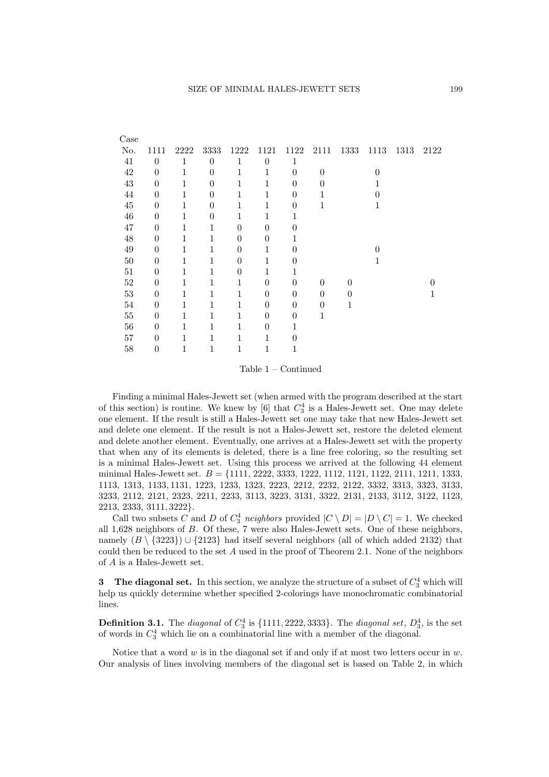| Case   |                  |             |                |                |                |          |          |      |          |      |      |
|--------|------------------|-------------|----------------|----------------|----------------|----------|----------|------|----------|------|------|
| No.    | 1111             | 2222        | 3333           | 1222           | 1121           | 1122     | 2111     | 1333 | 1113     | 1313 | 2122 |
| 41     | $\theta$         | 1           | $\theta$       | $\mathbf 1$    | $\theta$       | 1        |          |      |          |      |      |
| 42     | $\theta$         | 1           | $\overline{0}$ | 1              | 1              | $\theta$ | $\theta$ |      | $\theta$ |      |      |
| 43     | $\theta$         | 1           | $\theta$       | 1              | 1              | $\theta$ | 0        |      |          |      |      |
| 44     | $\theta$         | 1           | $\theta$       | $\mathbf 1$    | 1              | $\theta$ | 1        |      | 0        |      |      |
| $45\,$ | $\overline{0}$   | 1           | $\theta$       | 1              | 1              | $\theta$ | 1        |      | 1        |      |      |
| 46     | $\boldsymbol{0}$ | 1           | $\overline{0}$ | 1              | 1              | 1        |          |      |          |      |      |
| 47     | $\theta$         | $\mathbf 1$ | $\mathbf{1}$   | $\theta$       | $\theta$       | $\theta$ |          |      |          |      |      |
| 48     | $\theta$         | 1           | 1              | $\theta$       | $\theta$       | 1        |          |      |          |      |      |
| 49     | $\overline{0}$   | 1           | 1              | $\theta$       | 1              | $\Omega$ |          |      | $\Omega$ |      |      |
| 50     | 0                | 1           | 1              | $\theta$       | 1              | $\theta$ |          |      | 1        |      |      |
| 51     | $\theta$         | 1           | 1              | $\overline{0}$ | 1              |          |          |      |          |      |      |
| 52     | 0                | 1           | 1              | 1              | $\theta$       | $\Omega$ | $\theta$ | 0    |          |      |      |
| 53     | $\overline{0}$   | 1           | 1              | 1              | $\theta$       | $\theta$ | $\theta$ | 0    |          |      | 1    |
| 54     | $\theta$         | 1           | 1              | $\mathbf 1$    | $\overline{0}$ | $\theta$ | $\theta$ | 1    |          |      |      |
| $55\,$ | $\theta$         | 1           | 1              | $\mathbf 1$    | $\theta$       | $\theta$ | 1        |      |          |      |      |
| 56     | $\overline{0}$   | 1           | 1              | 1              | $\overline{0}$ | 1        |          |      |          |      |      |
| 57     | $\overline{0}$   | 1           | 1              | 1              | 1              | $\theta$ |          |      |          |      |      |
| 58     | 0                | 1           | 1              | 1              | 1              | 1        |          |      |          |      |      |
|        |                  |             |                |                |                |          |          |      |          |      |      |

Table 1 – Continued

Finding a minimal Hales-Jewett set (when armed with the program described at the start of this section) is routine. We knew by  $[6]$  that  $C_3^4$  is a Hales-Jewett set. One may delete one element. If the result is still a Hales-Jewett set one may take that new Hales-Jewett set and delete one element. If the result is not a Hales-Jewett set, restore the deleted element and delete another element. Eventually, one arrives at a Hales-Jewett set with the property that when any of its elements is deleted, there is a line free coloring, so the resulting set is a minimal Hales-Jewett set. Using this process we arrived at the following 44 element minimal Hales-Jewett set. *B* = *{*1111, 2222, 3333, 1222, 1112, 1121, 1122, 2111, 1211, 1333, 1113, 1313, 1133*,* 1131, 1223, 1233, 1323, 2223, 2212, 2232, 2122, 3332, 3313, 3323, 3133, 3233, 2112, 2121, 2323, 2211, 2233, 3113, 3223, 3131, 3322, 2131, 2133, 3112, 3122, 1123, 2213, 2333, 3111*,* 3222*}*.

Call two subsets *C* and *D* of  $C_3^4$  *neighbors* provided  $|C \setminus D| = |D \setminus C| = 1$ . We checked all 1,628 neighbors of *B*. Of these, 7 were also Hales-Jewett sets. One of these neighbors, namely  $(B \setminus \{3223\}) \cup \{2123\}$  had itself several neighbors (all of which added 2132) that could then be reduced to the set *A* used in the proof of Theorem 2.1. None of the neighbors of *A* is a Hales-Jewett set.

**3** The diagonal set. In this section, we analyze the structure of a subset of  $C_3^4$  which will help us quickly determine whether specified 2-colorings have monochromatic combinatorial lines.

**Definition 3.1.** The *diagonal* of  $C_3^4$  is  $\{1111, 2222, 3333\}$ . The *diagonal set*,  $D_3^4$ , is the set of words in *C* 4 <sup>3</sup> which lie on a combinatorial line with a member of the diagonal.

Notice that a word *w* is in the diagonal set if and only if at most two letters occur in *w*. Our analysis of lines involving members of the diagonal set is based on Table 2, in which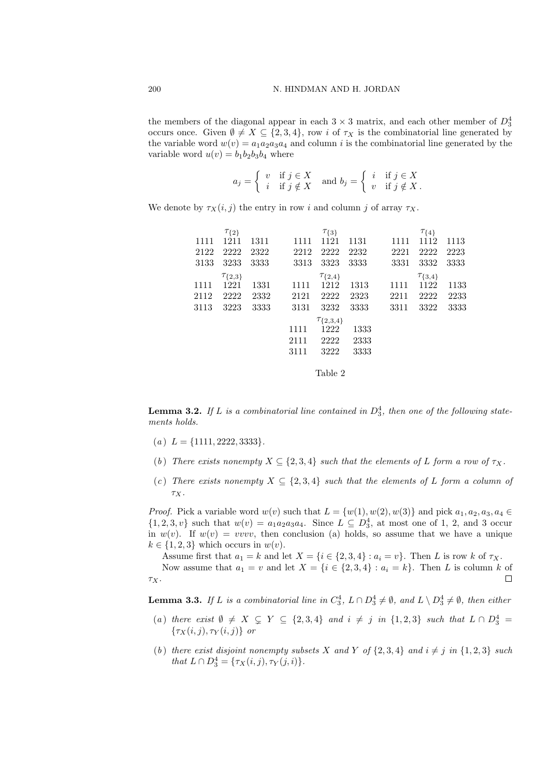the members of the diagonal appear in each  $3 \times 3$  matrix, and each other member of  $D_3^4$ occurs once. Given  $\emptyset \neq X \subseteq \{2,3,4\}$ , row *i* of  $\tau_X$  is the combinatorial line generated by the variable word  $w(v) = a_1 a_2 a_3 a_4$  and column *i* is the combinatorial line generated by the variable word  $u(v) = b_1b_2b_3b_4$  where

$$
a_j = \begin{cases} v & \text{if } j \in X \\ i & \text{if } j \notin X \end{cases} \text{ and } b_j = \begin{cases} i & \text{if } j \in X \\ v & \text{if } j \notin X \end{cases}
$$

We denote by  $\tau_X(i, j)$  the entry in row *i* and column *j* of array  $\tau_X$ .

|      | $\tau_{\{2\}}$   |       |      | $\tau_{\{3\}}$     |      |      | $\tau_{\{4\}}$   |      |
|------|------------------|-------|------|--------------------|------|------|------------------|------|
| 1111 | 1211             | -1311 | 1111 | 1121               | 1131 | 1111 | 1112             | 1113 |
| 2122 | 2222             | 2322  | 2212 | 2222               | 2232 | 2221 | 2222             | 2223 |
| 3133 | 3233             | 3333  | 3313 | 3323               | 3333 | 3331 | 3332             | 3333 |
|      | $\tau_{\{2,3\}}$ |       |      | $\tau_{\{2,4\}}$   |      |      | $\tau_{\{3,4\}}$ |      |
| 1111 | 1221             | 1331  | 1111 | 1212               | 1313 | 1111 | 1122             | 1133 |
| 2112 | 2222             | 2332  | 2121 | 2222               | 2323 | 2211 | 2222             | 2233 |
| 3113 | 3223             | 3333  | 3131 | 3232               | 3333 | 3311 | 3322             | 3333 |
|      |                  |       |      | $\tau_{\{2,3,4\}}$ |      |      |                  |      |
|      |                  |       | 1111 | 1222               | 1333 |      |                  |      |
|      |                  |       | 2111 | 2222               | 2333 |      |                  |      |
|      |                  |       | 3111 | 3222               | 3333 |      |                  |      |
|      |                  |       |      |                    |      |      |                  |      |
|      |                  |       |      | Table 2            |      |      |                  |      |

**Lemma 3.2.** If  $L$  is a combinatorial line contained in  $D_3^4$ , then one of the following state*ments holds.*

- $(a) L = \{1111, 2222, 3333\}.$
- (*b*) *There exists nonempty*  $X \subseteq \{2, 3, 4\}$  *such that the elements of L form a row of*  $\tau_X$ *.*
- (*c*) There exists nonempty  $X \subseteq \{2, 3, 4\}$  such that the elements of L form a column of *τX.*

*Proof.* Pick a variable word  $w(v)$  such that  $L = \{w(1), w(2), w(3)\}\$  and pick  $a_1, a_2, a_3, a_4 \in$  $\{1, 2, 3, v\}$  such that  $w(v) = a_1 a_2 a_3 a_4$ . Since  $L \subseteq D_3^4$ , at most one of 1, 2, and 3 occur in  $w(v)$ . If  $w(v) = vvvv$ , then conclusion (a) holds, so assume that we have a unique  $k \in \{1, 2, 3\}$  which occurs in  $w(v)$ .

Assume first that  $a_1 = k$  and let  $X = \{i \in \{2, 3, 4\} : a_i = v\}$ . Then *L* is row *k* of  $\tau_X$ .

Now assume that  $a_1 = v$  and let  $X = \{i \in \{2, 3, 4\} : a_i = k\}$ . Then *L* is column *k* of *τX*.  $\Box$ 

**Lemma 3.3.** *If L is a combinatorial line in*  $C_3^4$ ,  $L \cap D_3^4 \neq \emptyset$ , and  $L \setminus D_3^4 \neq \emptyset$ , then either

- (a) there exist  $\emptyset \neq X \subsetneq Y \subseteq \{2,3,4\}$  and  $i \neq j$  in  $\{1,2,3\}$  such that  $L \cap D_3^4 =$ *{τX*(*i, j*)*, τ<sup>Y</sup>* (*i, j*)*} or*
- (b) there exist disjoint nonempty subsets X and Y of  $\{2,3,4\}$  and  $i \neq j$  in  $\{1,2,3\}$  such *that*  $L \cap D_3^4 = {\tau_X(i, j), \tau_Y(j, i)}$ .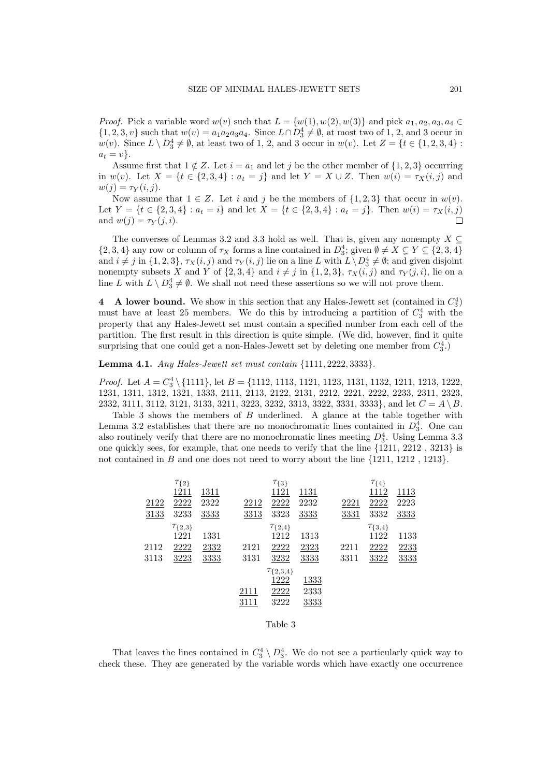*Proof.* Pick a variable word  $w(v)$  such that  $L = \{w(1), w(2), w(3)\}$  and pick  $a_1, a_2, a_3, a_4 \in$  $\{1, 2, 3, v\}$  such that  $w(v) = a_1 a_2 a_3 a_4$ . Since  $L \cap D_3^4 \neq \emptyset$ , at most two of 1, 2, and 3 occur in *w*(*v*). Since  $L \setminus D_3^4 \neq \emptyset$ , at least two of 1, 2, and 3 occur in *w*(*v*). Let  $Z = \{t \in \{1, 2, 3, 4\}$ :  $a_t = v$ .

Assume first that  $1 \notin \mathbb{Z}$ . Let  $i = a_1$  and let *j* be the other member of  $\{1, 2, 3\}$  occurring in  $w(v)$ . Let  $X = \{t \in \{2, 3, 4\} : a_t = j\}$  and let  $Y = X \cup Z$ . Then  $w(i) = \tau_X(i, j)$  and  $w(j) = \tau_Y(i, j).$ 

Now assume that  $1 \in Z$ . Let *i* and *j* be the members of  $\{1, 2, 3\}$  that occur in  $w(v)$ . Let  $Y = \{t \in \{2,3,4\} : a_t = i\}$  and let  $X = \{t \in \{2,3,4\} : a_t = j\}$ . Then  $w(i) = \tau_X(i,j)$ and  $w(j) = \tau_Y(j, i)$ .  $\Box$ 

The converses of Lemmas 3.2 and 3.3 hold as well. That is, given any nonempty *X ⊆*  $\{2, 3, 4\}$  any row or column of  $\tau_X$  forms a line contained in  $D_3^4$ ; given  $\emptyset \neq X \subsetneq Y \subseteq \{2, 3, 4\}$ and  $i \neq j$  in  $\{1,2,3\}$ ,  $\tau_X(i,j)$  and  $\tau_Y(i,j)$  lie on a line L with  $L \setminus D_3^4 \neq \emptyset$ ; and given disjoint nonempty subsets X and Y of  $\{2,3,4\}$  and  $i \neq j$  in  $\{1,2,3\}$ ,  $\tau_X(i,j)$  and  $\tau_Y(j,i)$ , lie on a line *L* with  $L \setminus D_3^4 \neq \emptyset$ . We shall not need these assertions so we will not prove them.

**4 A** lower bound. We show in this section that any Hales-Jewett set (contained in  $C_3^4$ ) must have at least 25 members. We do this by introducing a partition of  $C_3^4$  with the property that any Hales-Jewett set must contain a specified number from each cell of the partition. The first result in this direction is quite simple. (We did, however, find it quite surprising that one could get a non-Hales-Jewett set by deleting one member from  $C_3^4$ .)

**Lemma 4.1.** *Any Hales-Jewett set must contain {*1111*,* 2222*,* 3333*}.*

*Proof.* Let *A* = *C* 4 <sup>3</sup> *\ {*1111*}*, let *B* = *{*1112, 1113, 1121, 1123, 1131, 1132, 1211, 1213, 1222, 1231, 1311, 1312, 1321, 1333, 2111, 2113, 2122, 2131, 2212, 2221, 2222, 2233, 2311, 2323, 2332, 3111, 3112, 3121, 3133, 3211, 3223, 3232, 3313, 3322, 3331, 3333*}*, and let *C* = *A \ B*.

Table 3 shows the members of *B* underlined. A glance at the table together with Lemma 3.2 establishes that there are no monochromatic lines contained in  $D_3^4$ . One can also routinely verify that there are no monochromatic lines meeting  $D_3^4$ . Using Lemma 3.3 one quickly sees, for example, that one needs to verify that the line *{*1211, 2212 , 3213*}* is not contained in *B* and one does not need to worry about the line *{*1211, 1212 , 1213*}*.

|      | $\tau_{\{2\}}$   |      |      | $\tau_{\{3\}}$     |      |      | $\tau_{\{4\}}$   |      |
|------|------------------|------|------|--------------------|------|------|------------------|------|
|      | 1211             | 1311 |      | 1121               | 1131 |      | 1112             | 1113 |
| 2122 | 2222             | 2322 | 2212 | 2222               | 2232 | 2221 | 2222             | 2223 |
| 3133 | 3233             | 3333 | 3313 | 3323               | 3333 | 3331 | 3332             | 3333 |
|      | $\tau_{\{2,3\}}$ |      |      | $\tau_{\{2,4\}}$   |      |      | $\tau_{\{3,4\}}$ |      |
|      | 1221             | 1331 |      | 1212               | 1313 |      | 1122             | 1133 |
| 2112 | 2222             | 2332 | 2121 | 2222               | 2323 | 2211 | 2222             | 2233 |
| 3113 | 3223             | 3333 | 3131 | 3232               | 3333 | 3311 | 3322             | 3333 |
|      |                  |      |      | $\tau_{\{2,3,4\}}$ |      |      |                  |      |
|      |                  |      |      | 1222               | 1333 |      |                  |      |
|      |                  |      | 2111 | 2222               | 2333 |      |                  |      |
|      |                  |      | 3111 | 3222               | 3333 |      |                  |      |
|      |                  |      |      |                    |      |      |                  |      |

Table 3

That leaves the lines contained in  $C_3^4 \setminus D_3^4$ . We do not see a particularly quick way to check these. They are generated by the variable words which have exactly one occurrence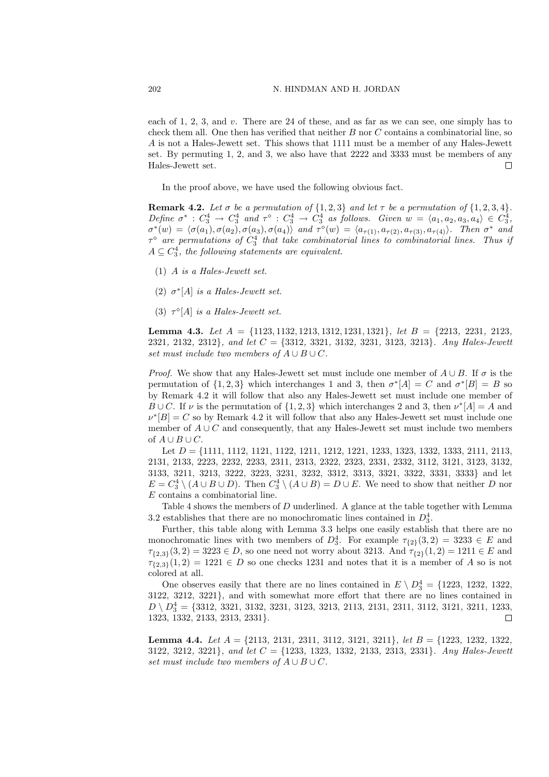each of 1, 2, 3, and *v*. There are 24 of these, and as far as we can see, one simply has to check them all. One then has verified that neither *B* nor *C* contains a combinatorial line, so *A* is not a Hales-Jewett set. This shows that 1111 must be a member of any Hales-Jewett set. By permuting 1, 2, and 3, we also have that 2222 and 3333 must be members of any Hales-Jewett set.  $\Box$ 

In the proof above, we have used the following obvious fact.

**Remark 4.2.** Let  $\sigma$  be a permutation of  $\{1, 2, 3\}$  and let  $\tau$  be a permutation of  $\{1, 2, 3, 4\}$ . Define  $\sigma^*$ :  $C_3^4 \rightarrow C_3^4$  and  $\tau^{\diamond}$ :  $C_3^4 \rightarrow C_3^4$  as follows. Given  $w = \langle a_1, a_2, a_3, a_4 \rangle \in C_3^4$ ,  $\sigma^*(w) = \langle \sigma(a_1), \sigma(a_2), \sigma(a_3), \sigma(a_4) \rangle$  and  $\tau^*(w) = \langle a_{\tau(1)}, a_{\tau(2)}, a_{\tau(3)}, a_{\tau(4)} \rangle$ . Then  $\sigma^*$  and  $\tau$ <sup> $\circ$ </sup> are permutations of  $C_3^4$  that take combinatorial lines to combinatorial lines. Thus if  $A \subseteq C_3^4$ , the following statements are equivalent.

- (1) *A is a Hales-Jewett set.*
- (2)  $\sigma^*$ [A] *is a Hales-Jewett set.*
- (3)  $\tau^{\diamond}[A]$  *is a Hales-Jewett set.*

**Lemma 4.3.** *Let A* = *{*1123*,* 1132*,* 1213*,* 1312*,* 1231*,* 1321*}, let B* = *{*2213*,* 2231*,* 2123*,* 2321*,* 2132*,* 2312*}, and let C* = *{*3312*,* 3321*,* 3132*,* 3231*,* 3123*,* 3213*}. Any Hales-Jewett set must include two members of*  $A \cup B \cup C$ *.* 

*Proof.* We show that any Hales-Jewett set must include one member of  $A \cup B$ . If  $\sigma$  is the permutation of  $\{1, 2, 3\}$  which interchanges 1 and 3, then  $\sigma^*[A] = C$  and  $\sigma^*[B] = B$  so by Remark 4.2 it will follow that also any Hales-Jewett set must include one member of *B*  $\cup$  *C*. If *v* is the permutation of  $\{1, 2, 3\}$  which interchanges 2 and 3, then  $\nu^*[A] = A$  and  $\nu$ <sup>\*</sup> $[B] = C$  so by Remark 4.2 it will follow that also any Hales-Jewett set must include one member of  $A \cup C$  and consequently, that any Hales-Jewett set must include two members of  $A ∪ B ∪ C$ .

Let *D* = *{*1111, 1112, 1121, 1122, 1211, 1212, 1221, 1233, 1323, 1332, 1333, 2111, 2113, 2131, 2133, 2223, 2232, 2233, 2311, 2313, 2322, 2323, 2331, 2332, 3112, 3121, 3123, 3132, 3133, 3211, 3213, 3222, 3223, 3231, 3232, 3312, 3313, 3321, 3322, 3331, 3333*}* and let  $E = C_3^4 \setminus (A \cup B \cup D)$ . Then  $C_3^4 \setminus (A \cup B) = D \cup E$ . We need to show that neither *D* nor *E* contains a combinatorial line.

Table 4 shows the members of *D* underlined. A glance at the table together with Lemma 3.2 establishes that there are no monochromatic lines contained in  $D_3^4$ .

Further, this table along with Lemma 3.3 helps one easily establish that there are no monochromatic lines with two members of  $D_3^4$ . For example  $\tau_{\{2\}}(3,2) = 3233 \in E$  and  $\tau$ <sub>{2,3}</sub>(3, 2) = 3223  $\in$  *D*, so one need not worry about 3213. And  $\tau$ <sub>{2}</sub>(1, 2) = 1211  $\in$  *E* and  $\tau$ <sub>{2,3}</sub>(1, 2) = 1221  $\in$  *D* so one checks 1231 and notes that it is a member of *A* so is not colored at all.

One observes easily that there are no lines contained in  $E \setminus D_3^4 = \{1223, 1232, 1322,$ 3122, 3212, 3221*}*, and with somewhat more effort that there are no lines contained in  $D \setminus D_3^4 = \{3312, 3321, 3132, 3231, 3123, 3213, 2113, 2131, 2311, 3112, 3121, 3211, 1233,$ 1323, 1332, 2133, 2313, 2331*}*.  $\Box$ 

**Lemma 4.4.** *Let A* = *{*2113*,* 2131*,* 2311*,* 3112*,* 3121*,* 3211*}, let B* = *{*1223*,* 1232*,* 1322*,* 3122*,* 3212*,* 3221*}, and let C* = *{*1233*,* 1323*,* 1332*,* 2133*,* 2313*,* 2331*}. Any Hales-Jewett set must include two members of*  $A \cup B \cup C$ *.*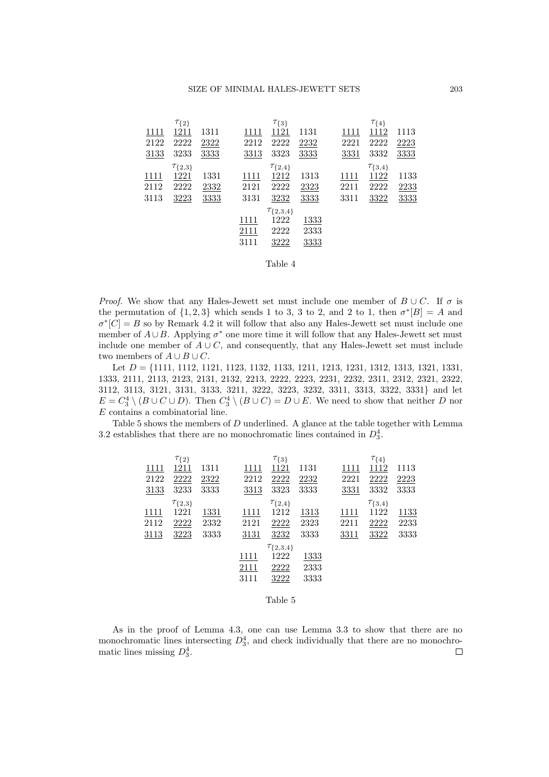|      | $\tau_{\{2\}}$   |      |      | $\tau_{\{3\}}$     |      |      | $\tau_{\{4\}}$   |      |
|------|------------------|------|------|--------------------|------|------|------------------|------|
| 1111 | 1211             | 1311 | 1111 | 1121               | 1131 | 1111 | 1112             | 1113 |
| 2122 | 2222             | 2322 | 2212 | 2222               | 2232 | 2221 | 2222             | 2223 |
| 3133 | 3233             | 3333 | 3313 | 3323               | 3333 | 3331 | 3332             | 3333 |
|      | $\tau_{\{2,3\}}$ |      |      | $\tau_{\{2,4\}}$   |      |      | $\tau_{\{3,4\}}$ |      |
| 1111 | 1221             | 1331 | 1111 | 1212               | 1313 | 1111 | 1122             | 1133 |
| 2112 | 2222             | 2332 | 2121 | 2222               | 2323 | 2211 | 2222             | 2233 |
| 3113 | 3223             | 3333 | 3131 | 3232               | 3333 | 3311 | 3322             | 3333 |
|      |                  |      |      | $\tau_{\{2,3,4\}}$ |      |      |                  |      |
|      |                  |      | 1111 | 1222               | 1333 |      |                  |      |
|      |                  |      | 2111 | 2222               | 2333 |      |                  |      |
|      |                  |      | 3111 | 3222               | 3333 |      |                  |      |
|      |                  |      |      |                    |      |      |                  |      |

| able |  |
|------|--|
|------|--|

*Proof.* We show that any Hales-Jewett set must include one member of  $B \cup C$ . If  $\sigma$  is the permutation of  $\{1, 2, 3\}$  which sends 1 to 3, 3 to 2, and 2 to 1, then  $\sigma^*$ [*B*] = *A* and  $\sigma$ <sup>\*</sup> $[C] = B$  so by Remark 4.2 it will follow that also any Hales-Jewett set must include one member of  $A \cup B$ . Applying  $\sigma^*$  one more time it will follow that any Hales-Jewett set must include one member of  $A \cup C$ , and consequently, that any Hales-Jewett set must include two members of  $A \cup B \cup C$ .

Let *D* = *{*1111, 1112, 1121, 1123, 1132, 1133, 1211, 1213, 1231, 1312, 1313, 1321, 1331, 1333, 2111, 2113, 2123, 2131, 2132, 2213, 2222, 2223, 2231, 2232, 2311, 2312, 2321, 2322, 3112, 3113, 3121, 3131, 3133, 3211, 3222, 3223, 3232, 3311, 3313, 3322, 3331*}* and let  $E = C_3^4 \setminus (B \cup C \cup D)$ . Then  $C_3^4 \setminus (B \cup C) = D \cup E$ . We need to show that neither *D* nor *E* contains a combinatorial line.

Table 5 shows the members of *D* underlined. A glance at the table together with Lemma 3.2 establishes that there are no monochromatic lines contained in  $D_3^4$ .

|      | $\tau_{\{2\}}$   |      |      | $\tau_{\{3\}}$     |      |      | $\tau_{\{4\}}$   |      |
|------|------------------|------|------|--------------------|------|------|------------------|------|
| 1111 | 1211             | 1311 | 1111 | 1121               | 1131 | 1111 | 1112             | 1113 |
| 2122 | 2222             | 2322 | 2212 | 2222               | 2232 | 2221 | 2222             | 2223 |
| 3133 | 3233             | 3333 | 3313 | 3323               | 3333 | 3331 | 3332             | 3333 |
|      | $\tau_{\{2,3\}}$ |      |      | $\tau_{\{2,4\}}$   |      |      | $\tau_{\{3,4\}}$ |      |
| 1111 | 1221             | 1331 | 1111 | 1212               | 1313 | 1111 | 1122             | 1133 |
| 2112 | 2222             | 2332 | 2121 | 2222               | 2323 | 2211 | 2222             | 2233 |
| 3113 | 3223             | 3333 | 3131 | 3232               | 3333 | 3311 | 3322             | 3333 |
|      |                  |      |      | $\tau_{\{2,3,4\}}$ |      |      |                  |      |
|      |                  |      | 1111 | 1222               | 1333 |      |                  |      |
|      |                  |      | 2111 | 2222               | 2333 |      |                  |      |
|      |                  |      | 3111 | 3222               | 3333 |      |                  |      |
|      |                  |      |      |                    |      |      |                  |      |
|      |                  |      |      | Table 5            |      |      |                  |      |

As in the proof of Lemma 4.3, one can use Lemma 3.3 to show that there are no monochromatic lines intersecting  $D_3^4$ , and check individually that there are no monochromatic lines missing  $D_3^4$ .  $\Box$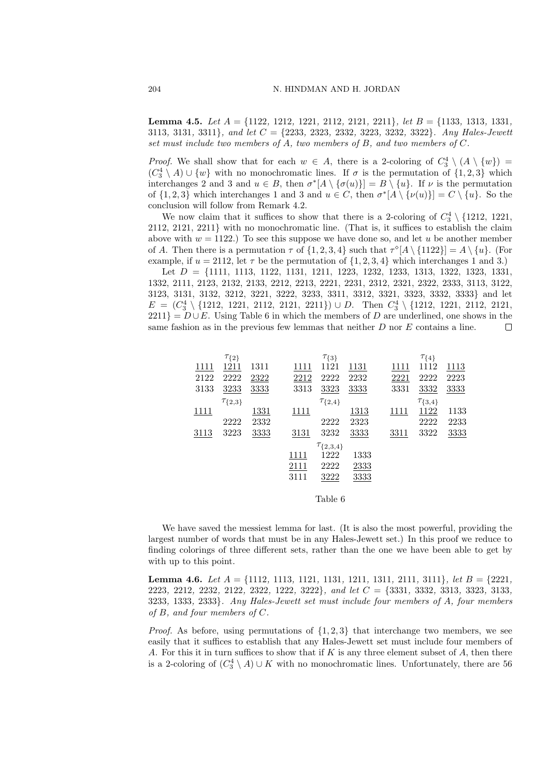**Lemma 4.5.** *Let A* = *{*1122*,* 1212*,* 1221*,* 2112*,* 2121*,* 2211*}, let B* = *{*1133*,* 1313*,* 1331*,* 3113*,* 3131*,* 3311*}, and let C* = *{*2233*,* 2323*,* 2332*,* 3223*,* 3232*,* 3322*}. Any Hales-Jewett set must include two members of A, two members of B, and two members of C.*

*Proof.* We shall show that for each  $w \in A$ , there is a 2-coloring of  $C_3^4 \setminus (A \setminus \{w\})$  $(C_3^4 \setminus A)$  ∪  $\{w\}$  with no monochromatic lines. If  $\sigma$  is the permutation of  $\{1, 2, 3\}$  which interchanges 2 and 3 and  $u \in B$ , then  $\sigma^*[A \setminus {\sigma(u)}] = B \setminus {u}$ . If  $\nu$  is the permutation of  $\{1,2,3\}$  which interchanges 1 and 3 and  $u \in C$ , then  $\sigma^*[A \setminus {\nu(u)}] = C \setminus {u}$ . So the conclusion will follow from Remark 4.2.

We now claim that it suffices to show that there is a 2-coloring of  $C_3^4 \setminus \{1212, 1221, \ldots\}$ 2112, 2121, 2211*}* with no monochromatic line. (That is, it suffices to establish the claim above with  $w = 1122$ .) To see this suppose we have done so, and let *u* be another member of *A*. Then there is a permutation  $\tau$  of  $\{1, 2, 3, 4\}$  such that  $\tau^{\circ}[A \setminus \{1122\}] = A \setminus \{u\}$ . (For example, if  $u = 2112$ , let  $\tau$  be the permutation of  $\{1, 2, 3, 4\}$  which interchanges 1 and 3.)

Let *D* = *{*1111, 1113, 1122, 1131, 1211, 1223, 1232, 1233, 1313, 1322, 1323, 1331, 1332, 2111, 2123, 2132, 2133, 2212, 2213, 2221, 2231, 2312, 2321, 2322, 2333, 3113, 3122, 3123, 3131, 3132, 3212, 3221, 3222, 3233, 3311, 3312, 3321, 3323, 3332, 3333*}* and let *E* =  $(C_3^4$  \ {1212, 1221, 2112, 2121, 2211}) *∪ D*. Then  $C_3^4$  \ {1212, 1221, 2112, 2121,  $2211$ } =  $D \cup E$ . Using Table 6 in which the members of *D* are underlined, one shows in the same fashion as in the previous few lemmas that neither *D* nor *E* contains a line.  $\Box$ 

|               | $\tau_{\{2\}}$   |      |      | $\tau_{\{3\}}$     |      |      | $\tau_{\{4\}}$   |      |
|---------------|------------------|------|------|--------------------|------|------|------------------|------|
| 1111          | 1211             | 1311 | 1111 | 1121               | 1131 | 1111 | 1112             | 1113 |
| 2122          | 2222             | 2322 | 2212 | 2222               | 2232 | 2221 | 2222             | 2223 |
| 3133          | 3233             | 3333 | 3313 | 3323               | 3333 | 3331 | 3332             | 3333 |
|               | $\tau_{\{2,3\}}$ |      |      | $\tau_{\{2,4\}}$   |      |      | $\tau_{\{3,4\}}$ |      |
| <u> 1111 </u> |                  | 1331 | 1111 |                    | 1313 | 1111 | 1122             | 1133 |
|               | 2222             | 2332 |      | 2222               | 2323 |      | 2222             | 2233 |
| 3113          | 3223             | 3333 | 3131 | 3232               | 3333 | 3311 | 3322             | 3333 |
|               |                  |      |      | $\tau_{\{2,3,4\}}$ |      |      |                  |      |
|               |                  |      | 1111 | 1222               | 1333 |      |                  |      |
|               |                  |      | 2111 | 2222               | 2333 |      |                  |      |
|               |                  |      | 3111 | 3222               | 3333 |      |                  |      |
|               |                  |      |      |                    |      |      |                  |      |
|               |                  |      |      | Table 6            |      |      |                  |      |

We have saved the messiest lemma for last. (It is also the most powerful, providing the largest number of words that must be in any Hales-Jewett set.) In this proof we reduce to finding colorings of three different sets, rather than the one we have been able to get by with up to this point.

**Lemma 4.6.** *Let A* = *{*1112*,* 1113*,* 1121*,* 1131*,* 1211*,* 1311*,* 2111*,* 3111*}, let B* = *{*2221*,* 2223*,* 2212*,* 2232*,* 2122*,* 2322*,* 1222*,* 3222*}, and let C* = *{*3331*,* 3332*,* 3313*,* 3323*,* 3133*,* 3233*,* 1333*,* 2333*}. Any Hales-Jewett set must include four members of A, four members of B, and four members of C.*

*Proof.* As before, using permutations of *{*1*,* 2*,* 3*}* that interchange two members, we see easily that it suffices to establish that any Hales-Jewett set must include four members of *A*. For this it in turn suffices to show that if *K* is any three element subset of *A*, then there is a 2-coloring of  $(C_3^4 \setminus A) \cup K$  with no monochromatic lines. Unfortunately, there are 56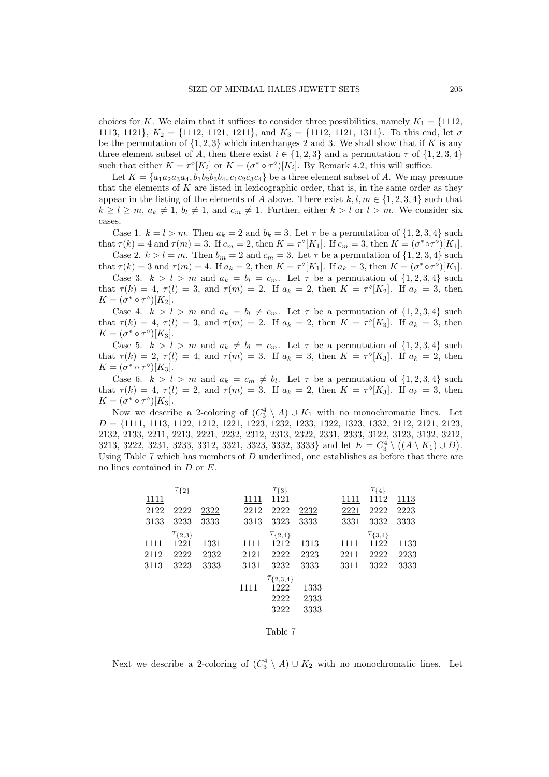choices for *K*. We claim that it suffices to consider three possibilities, namely  $K_1 = \{1112,$ 1113, 1121*}*, *K*<sup>2</sup> = *{*1112, 1121, 1211*}*, and *K*<sup>3</sup> = *{*1112, 1121, 1311*}*. To this end, let *σ* be the permutation of  $\{1, 2, 3\}$  which interchanges 2 and 3. We shall show that if K is any three element subset of *A*, then there exist  $i \in \{1, 2, 3\}$  and a permutation  $\tau$  of  $\{1, 2, 3, 4\}$ such that either  $K = \tau^{\circ}[K_i]$  or  $K = (\sigma^* \circ \tau^{\circ})[K_i]$ . By Remark 4.2, this will suffice.

Let  $K = \{a_1a_2a_3a_4, b_1b_2b_3b_4, c_1c_2c_3c_4\}$  be a three element subset of *A*. We may presume that the elements of *K* are listed in lexicographic order, that is, in the same order as they appear in the listing of the elements of *A* above. There exist  $k, l, m \in \{1, 2, 3, 4\}$  such that  $k \geq l \geq m, a_k \neq 1, b_l \neq 1$ , and  $c_m \neq 1$ . Further, either  $k > l$  or  $l > m$ . We consider six cases.

Case 1.  $k = l > m$ . Then  $a_k = 2$  and  $b_k = 3$ . Let  $\tau$  be a permutation of  $\{1, 2, 3, 4\}$  such that  $\tau(k) = 4$  and  $\tau(m) = 3$ . If  $c_m = 2$ , then  $K = \tau^{\circ}[K_1]$ . If  $c_m = 3$ , then  $K = (\sigma^* \circ \tau^{\circ})[K_1]$ .

Case 2.  $k > l = m$ . Then  $b_m = 2$  and  $c_m = 3$ . Let  $\tau$  be a permutation of  $\{1, 2, 3, 4\}$  such that  $\tau(k) = 3$  and  $\tau(m) = 4$ . If  $a_k = 2$ , then  $K = \tau^{\circ}[K_1]$ . If  $a_k = 3$ , then  $K = (\sigma^* \circ \tau^{\circ})[K_1]$ .

Case 3.  $k > l > m$  and  $a_k = b_l = c_m$ . Let  $\tau$  be a permutation of  $\{1, 2, 3, 4\}$  such that  $\tau(k) = 4, \tau(l) = 3$ , and  $\tau(m) = 2$ . If  $a_k = 2$ , then  $K = \tau^{\circ}[K_2]$ . If  $a_k = 3$ , then  $K = (\sigma^* \circ \tau^{\diamond})[K_2].$ 

Case 4.  $k > l > m$  and  $a_k = b_l \neq c_m$ . Let  $\tau$  be a permutation of  $\{1, 2, 3, 4\}$  such that  $\tau(k) = 4, \tau(l) = 3$ , and  $\tau(m) = 2$ . If  $a_k = 2$ , then  $K = \tau^{\circ}[K_3]$ . If  $a_k = 3$ , then  $K = (\sigma^* \circ \tau^{\diamond})[K_3].$ 

Case 5.  $k > l > m$  and  $a_k \neq b_l = c_m$ . Let  $\tau$  be a permutation of  $\{1, 2, 3, 4\}$  such that  $\tau(k) = 2, \tau(l) = 4$ , and  $\tau(m) = 3$ . If  $a_k = 3$ , then  $K = \tau^{\circ}[K_3]$ . If  $a_k = 2$ , then  $K = (\sigma^* \circ \tau^{\diamond})[K_3].$ 

Case 6.  $k > l > m$  and  $a_k = c_m \neq b_l$ . Let  $\tau$  be a permutation of  $\{1, 2, 3, 4\}$  such that  $\tau(k) = 4, \tau(l) = 2$ , and  $\tau(m) = 3$ . If  $a_k = 2$ , then  $K = \tau^{\circ}[K_3]$ . If  $a_k = 3$ , then  $K = (\sigma^* \circ \tau^{\diamond})[K_3].$ 

Now we describe a 2-coloring of  $\left(C_3^4 \setminus A\right) \cup K_1$  with no monochromatic lines. Let *D* = *{*1111, 1113, 1122, 1212, 1221, 1223, 1232, 1233, 1322, 1323, 1332, 2112, 2121, 2123, 2132, 2133, 2211, 2213, 2221, 2232, 2312, 2313, 2322, 2331, 2333, 3122, 3123, 3132, 3212, 3213, 3222, 3231, 3233, 3312, 3321, 3323, 3332, 3333*}* and let  $E = C_3^4 \setminus ((A \setminus K_1) \cup D)$ . Using Table 7 which has members of *D* underlined, one establishes as before that there are no lines contained in *D* or *E*.

|      | $\tau_{\{2\}}$   |      |      | $\tau_{\{3\}}$     |      |      | $\tau_{\{4\}}$   |      |
|------|------------------|------|------|--------------------|------|------|------------------|------|
| 1111 |                  |      | 1111 | 1121               |      | 1111 | 1112             | 1113 |
| 2122 | 2222             | 2322 | 2212 | 2222               | 2232 | 2221 | 2222             | 2223 |
| 3133 | 3233             | 3333 | 3313 | 3323               | 3333 | 3331 | 3332             | 3333 |
|      | $\tau_{\{2,3\}}$ |      |      | $\tau_{\{2,4\}}$   |      |      | $\tau_{\{3,4\}}$ |      |
| 1111 | 1221             | 1331 | 1111 | 1212               | 1313 | 1111 | 1122             | 1133 |
| 2112 | 2222             | 2332 | 2121 | 2222               | 2323 | 2211 | 2222             | 2233 |
| 3113 | 3223             | 3333 | 3131 | 3232               | 3333 | 3311 | 3322             | 3333 |
|      |                  |      |      | $\tau_{\{2,3,4\}}$ |      |      |                  |      |
|      |                  |      | 1111 | 1222               | 1333 |      |                  |      |
|      |                  |      |      | 2222               | 2333 |      |                  |      |
|      |                  |      |      | 3222               | 3333 |      |                  |      |
|      |                  |      |      |                    |      |      |                  |      |
|      |                  |      |      | Table 7            |      |      |                  |      |

Next we describe a 2-coloring of  $(C_3^4 \setminus A) \cup K_2$  with no monochromatic lines. Let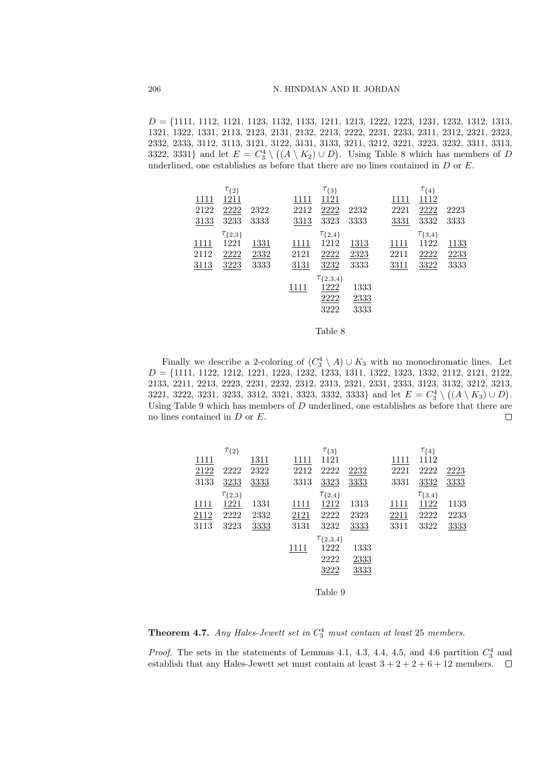*D* = *{*1111, 1112, 1121, 1123, 1132, 1133, 1211, 1213, 1222, 1223, 1231, 1232, 1312, 1313, 1321, 1322, 1331, 2113, 2123, 2131, 2132, 2213, 2222, 2231, 2233, 2311, 2312, 2321, 2323, 2332, 2333, 3112, 3113, 3121, 3122, 3131, 3133, 3211, 3212, 3221, 3223, 3232, 3311, 3313, 3322, 3331} and let  $E = C_3^4 \setminus ((A \setminus K_2) \cup D)$ . Using Table 8 which has members of *D* underlined, one establishes as before that there are no lines contained in *D* or *E*.

| $\tau_{\{2\}}$                        | $\tau_{\{3\}}$     |      |      | $\tau_{\{4\}}$   |      |
|---------------------------------------|--------------------|------|------|------------------|------|
| 1211<br>1111<br>1111                  | 1121               |      | 1111 | 1112             |      |
| 2222<br>2122<br>2322<br>2212          | 2222               | 2232 | 2221 | 2222             | 2223 |
| 3233<br>3133<br>3333<br>3313          | 3323               | 3333 | 3331 | 3332             | 3333 |
| $\tau_{\{2,3\}}$                      | $\tau_{\{2,4\}}$   |      |      | $\tau_{\{3,4\}}$ |      |
| 1221<br>1331<br><u> 1111 </u><br>1111 | 1212               | 1313 | 1111 | 1122             | 1133 |
| 2112<br>2222<br>2332<br>2121          | 2222               | 2323 | 2211 | 2222             | 2233 |
| 3113<br>3223<br>3333<br>3131          | 3232               | 3333 | 3311 | 3322             | 3333 |
|                                       | $\tau_{\{2,3,4\}}$ |      |      |                  |      |
| 1111                                  | 1222               | 1333 |      |                  |      |
|                                       | 2222               | 2333 |      |                  |      |
|                                       | 3222               | 3333 |      |                  |      |
|                                       |                    |      |      |                  |      |

Table 8

Finally we describe a 2-coloring of  $(C_3^4 \setminus A) \cup K_3$  with no monochromatic lines. Let *D* = {1111, 1122, 1212, 1221, 1223, 1232, 1233, 1311, 1322, 1323, 1332, 2112, 2121, 2122, 2133, 2211, 2213, 2223, 2231, 2232, 2312, 2313, 2321, 2331, 2333, 3123, 3132, 3212, 3213, 3221, 3222, 3231, 3233, 3312, 3321, 3323, 3332, 3333*}* and let  $E = C_3^4 \setminus ((A \setminus K_3) \cup D)$ . Using Table 9 which has members of *D* underlined, one establishes as before that there are no lines contained in *D* or *E*.  $\Box$ 

|      | $\tau_{\{2\}}$   |      |      | $\tau_{\{3\}}$     |      |      | $\tau_{\{4\}}$   |      |
|------|------------------|------|------|--------------------|------|------|------------------|------|
| 1111 |                  | 1311 | 1111 | 1121               |      | 1111 | 1112             |      |
| 2122 | 2222             | 2322 | 2212 | 2222               | 2232 | 2221 | 2222             | 2223 |
| 3133 | 3233             | 3333 | 3313 | 3323               | 3333 | 3331 | 3332             | 3333 |
|      | $\tau_{\{2,3\}}$ |      |      | $\tau_{\{2,4\}}$   |      |      | $\tau_{\{3,4\}}$ |      |
| 1111 | 1221             | 1331 | 1111 | 1212               | 1313 | 1111 | 1122             | 1133 |
| 2112 | 2222             | 2332 | 2121 | 2222               | 2323 | 2211 | 2222             | 2233 |
| 3113 | 3223             | 3333 | 3131 | 3232               | 3333 | 3311 | 3322             | 3333 |
|      |                  |      |      | $\tau_{\{2,3,4\}}$ |      |      |                  |      |
|      |                  |      | 1111 | 1222               | 1333 |      |                  |      |
|      |                  |      |      | 2222               | 2333 |      |                  |      |
|      |                  |      |      | 3222               | 3333 |      |                  |      |
|      |                  |      |      |                    |      |      |                  |      |
|      |                  |      |      | Table 9            |      |      |                  |      |

**Theorem 4.7.** *Any Hales-Jewett set in C* 4 <sup>3</sup> *must contain at least* 25 *members.*

*Proof.* The sets in the statements of Lemmas 4.1, 4.3, 4.4, 4.5, and 4.6 partition  $C_3^4$  and establish that any Hales-Jewett set must contain at least  $3 + 2 + 2 + 6 + 12$  members.  $\Box$